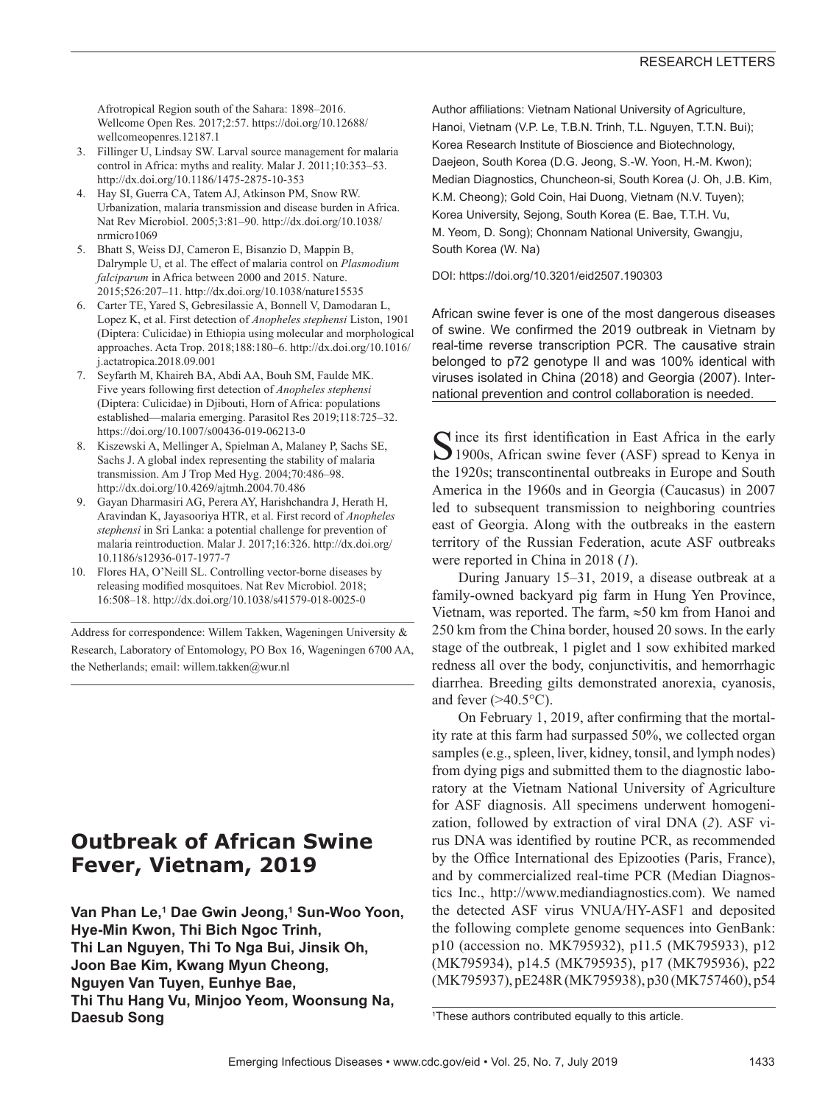Afrotropical Region south of the Sahara: 1898–2016. Wellcome Open Res. 2017;2:57. https://doi.org/10.12688/ wellcomeopenres.12187.1

- 3. Fillinger U, Lindsay SW. Larval source management for malaria control in Africa: myths and reality. Malar J. 2011;10:353–53. http://dx.doi.org/10.1186/1475-2875-10-353
- 4. Hay SI, Guerra CA, Tatem AJ, Atkinson PM, Snow RW. Urbanization, malaria transmission and disease burden in Africa. Nat Rev Microbiol. 2005;3:81–90. http://dx.doi.org/10.1038/ nrmicro1069
- 5. Bhatt S, Weiss DJ, Cameron E, Bisanzio D, Mappin B, Dalrymple U, et al. The effect of malaria control on *Plasmodium falciparum* in Africa between 2000 and 2015. Nature. 2015;526:207–11. http://dx.doi.org/10.1038/nature15535
- 6. Carter TE, Yared S, Gebresilassie A, Bonnell V, Damodaran L, Lopez K, et al. First detection of *Anopheles stephensi* Liston, 1901 (Diptera: Culicidae) in Ethiopia using molecular and morphological approaches. Acta Trop. 2018;188:180–6. http://dx.doi.org/10.1016/ j.actatropica.2018.09.001
- 7. Seyfarth M, Khaireh BA, Abdi AA, Bouh SM, Faulde MK. Five years following first detection of *Anopheles stephensi* (Diptera: Culicidae) in Djibouti, Horn of Africa: populations established—malaria emerging. Parasitol Res 2019;118:725–32. https://doi.org/10.1007/s00436-019-06213-0
- 8. Kiszewski A, Mellinger A, Spielman A, Malaney P, Sachs SE, Sachs J. A global index representing the stability of malaria transmission. Am J Trop Med Hyg. 2004;70:486–98. http://dx.doi.org/10.4269/ajtmh.2004.70.486
- 9. Gayan Dharmasiri AG, Perera AY, Harishchandra J, Herath H, Aravindan K, Jayasooriya HTR, et al. First record of *Anopheles stephensi* in Sri Lanka: a potential challenge for prevention of malaria reintroduction. Malar J. 2017;16:326. http://dx.doi.org/ 10.1186/s12936-017-1977-7
- 10. Flores HA, O'Neill SL. Controlling vector-borne diseases by releasing modified mosquitoes. Nat Rev Microbiol. 2018; 16:508–18. http://dx.doi.org/10.1038/s41579-018-0025-0

Address for correspondence: Willem Takken, Wageningen University & Research, Laboratory of Entomology, PO Box 16, Wageningen 6700 AA, the Netherlands; email: willem.takken@wur.nl

# **Outbreak of African Swine Fever, Vietnam, 2019**

**Van Phan Le,<sup>1</sup> Dae Gwin Jeong,<sup>1</sup> Sun-Woo Yoon, Hye-Min Kwon, Thi Bich Ngoc Trinh, Thi Lan Nguyen, Thi To Nga Bui, Jinsik Oh, Joon Bae Kim, Kwang Myun Cheong, Nguyen Van Tuyen, Eunhye Bae, Thi Thu Hang Vu, Minjoo Yeom, Woonsung Na, Daesub Song**

Author affiliations: Vietnam National University of Agriculture, Hanoi, Vietnam (V.P. Le, T.B.N. Trinh, T.L. Nguyen, T.T.N. Bui); Korea Research Institute of Bioscience and Biotechnology, Daejeon, South Korea (D.G. Jeong, S.-W. Yoon, H.-M. Kwon); Median Diagnostics, Chuncheon-si, South Korea (J. Oh, J.B. Kim, K.M. Cheong); Gold Coin, Hai Duong, Vietnam (N.V. Tuyen); Korea University, Sejong, South Korea (E. Bae, T.T.H. Vu, M. Yeom, D. Song); Chonnam National University, Gwangju, South Korea (W. Na)

DOI: https://doi.org/10.3201/eid2507.190303

African swine fever is one of the most dangerous diseases of swine. We confirmed the 2019 outbreak in Vietnam by real-time reverse transcription PCR. The causative strain belonged to p72 genotype II and was 100% identical with viruses isolated in China (2018) and Georgia (2007). International prevention and control collaboration is needed.

 $\bigcap$  ince its first identification in East Africa in the early 1900s, African swine fever (ASF) spread to Kenya in the 1920s; transcontinental outbreaks in Europe and South America in the 1960s and in Georgia (Caucasus) in 2007 led to subsequent transmission to neighboring countries east of Georgia. Along with the outbreaks in the eastern territory of the Russian Federation, acute ASF outbreaks were reported in China in 2018 (*1*).

During January 15–31, 2019, a disease outbreak at a family-owned backyard pig farm in Hung Yen Province, Vietnam, was reported. The farm, ≈50 km from Hanoi and 250 km from the China border, housed 20 sows. In the early stage of the outbreak, 1 piglet and 1 sow exhibited marked redness all over the body, conjunctivitis, and hemorrhagic diarrhea. Breeding gilts demonstrated anorexia, cyanosis, and fever  $(>40.5^{\circ}C)$ .

On February 1, 2019, after confirming that the mortality rate at this farm had surpassed 50%, we collected organ samples (e.g., spleen, liver, kidney, tonsil, and lymph nodes) from dying pigs and submitted them to the diagnostic laboratory at the Vietnam National University of Agriculture for ASF diagnosis. All specimens underwent homogenization, followed by extraction of viral DNA (*2*). ASF virus DNA was identified by routine PCR, as recommended by the Office International des Epizooties (Paris, France), and by commercialized real-time PCR (Median Diagnostics Inc., http://www.mediandiagnostics.com). We named the detected ASF virus VNUA/HY-ASF1 and deposited the following complete genome sequences into GenBank: p10 (accession no. MK795932), p11.5 (MK795933), p12 (MK795934), p14.5 (MK795935), p17 (MK795936), p22 (MK795937), pE248R (MK795938), p30 (MK757460), p54

<sup>1</sup> These authors contributed equally to this article.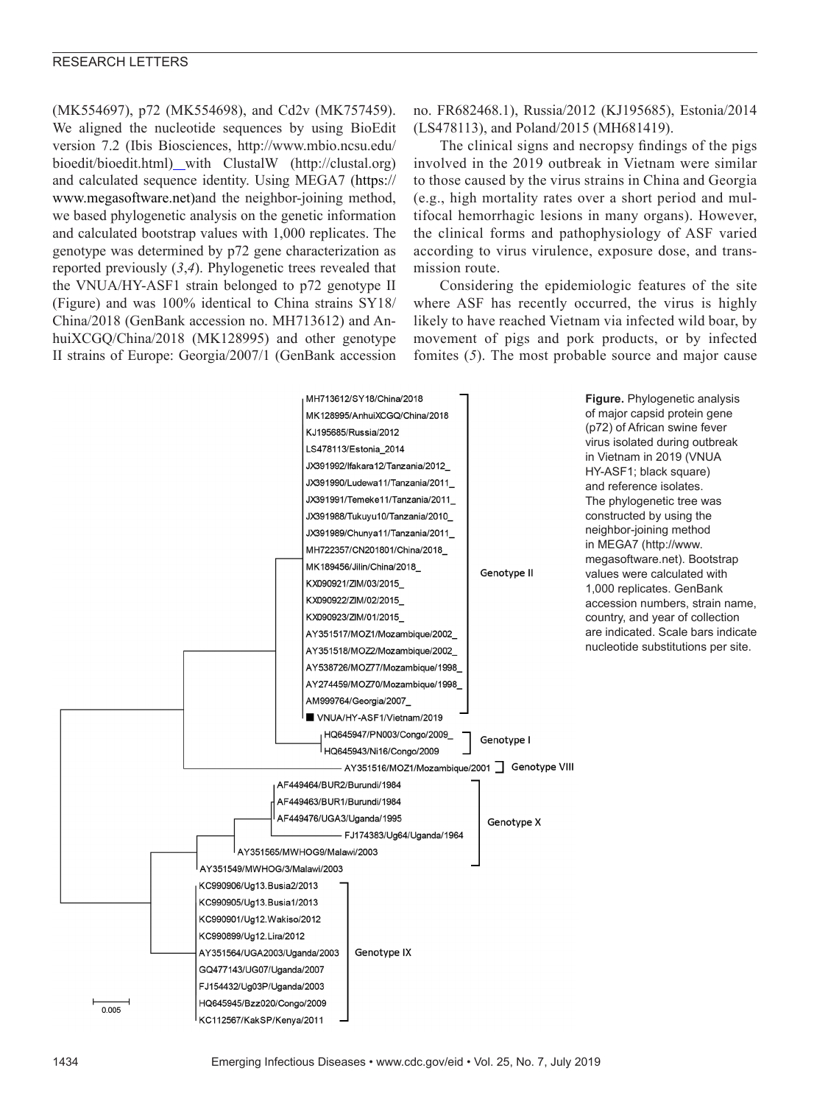(MK554697), p72 (MK554698), and Cd2v (MK757459). We aligned the nucleotide sequences by using BioEdit version 7.2 (Ibis Biosciences, http://www.mbio.ncsu.edu/ bioedit/bioedit.html) with ClustalW (http://clustal.org) and calculated sequence identity. Using MEGA7 (https:// www.megasoftware.net)and the neighbor-joining method, we based phylogenetic analysis on the genetic information and calculated bootstrap values with 1,000 replicates. The genotype was determined by p72 gene characterization as reported previously (*3*,*4*). Phylogenetic trees revealed that the VNUA/HY-ASF1 strain belonged to p72 genotype II (Figure) and was 100% identical to China strains SY18/ China/2018 (GenBank accession no. MH713612) and AnhuiXCGQ/China/2018 (MK128995) and other genotype II strains of Europe: Georgia/2007/1 (GenBank accession

no. FR682468.1), Russia/2012 (KJ195685), Estonia/2014 (LS478113), and Poland/2015 (MH681419).

The clinical signs and necropsy findings of the pigs involved in the 2019 outbreak in Vietnam were similar to those caused by the virus strains in China and Georgia (e.g., high mortality rates over a short period and multifocal hemorrhagic lesions in many organs). However, the clinical forms and pathophysiology of ASF varied according to virus virulence, exposure dose, and transmission route.

Considering the epidemiologic features of the site where ASF has recently occurred, the virus is highly likely to have reached Vietnam via infected wild boar, by movement of pigs and pork products, or by infected fomites (*5*). The most probable source and major cause